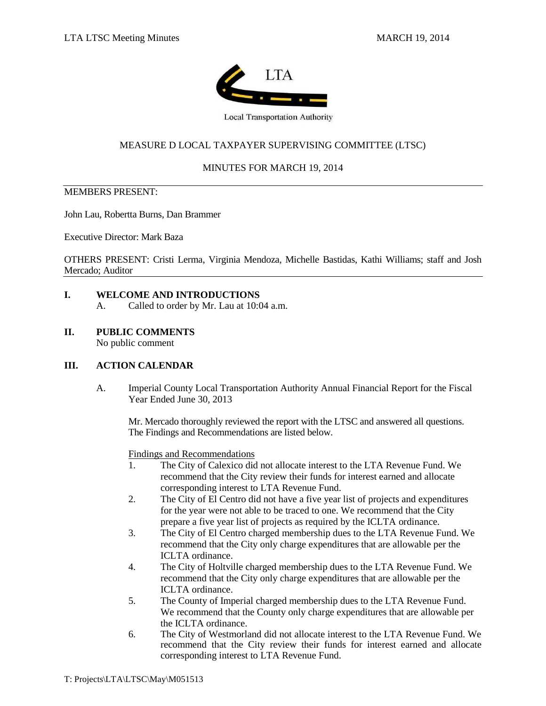

**Local Transportation Authority** 

# MEASURE D LOCAL TAXPAYER SUPERVISING COMMITTEE (LTSC)

## MINUTES FOR MARCH 19, 2014

## MEMBERS PRESENT:

John Lau, Robertta Burns, Dan Brammer

Executive Director: Mark Baza

OTHERS PRESENT: Cristi Lerma, Virginia Mendoza, Michelle Bastidas, Kathi Williams; staff and Josh Mercado; Auditor

## **I. WELCOME AND INTRODUCTIONS**

- A. Called to order by Mr. Lau at 10:04 a.m.
- **II. PUBLIC COMMENTS**

No public comment

## **III. ACTION CALENDAR**

A. Imperial County Local Transportation Authority Annual Financial Report for the Fiscal Year Ended June 30, 2013

Mr. Mercado thoroughly reviewed the report with the LTSC and answered all questions. The Findings and Recommendations are listed below.

Findings and Recommendations

- 1. The City of Calexico did not allocate interest to the LTA Revenue Fund. We recommend that the City review their funds for interest earned and allocate corresponding interest to LTA Revenue Fund.
- 2. The City of El Centro did not have a five year list of projects and expenditures for the year were not able to be traced to one. We recommend that the City prepare a five year list of projects as required by the ICLTA ordinance.
- 3. The City of El Centro charged membership dues to the LTA Revenue Fund. We recommend that the City only charge expenditures that are allowable per the ICLTA ordinance.
- 4. The City of Holtville charged membership dues to the LTA Revenue Fund. We recommend that the City only charge expenditures that are allowable per the ICLTA ordinance.
- 5. The County of Imperial charged membership dues to the LTA Revenue Fund. We recommend that the County only charge expenditures that are allowable per the ICLTA ordinance.
- 6. The City of Westmorland did not allocate interest to the LTA Revenue Fund. We recommend that the City review their funds for interest earned and allocate corresponding interest to LTA Revenue Fund.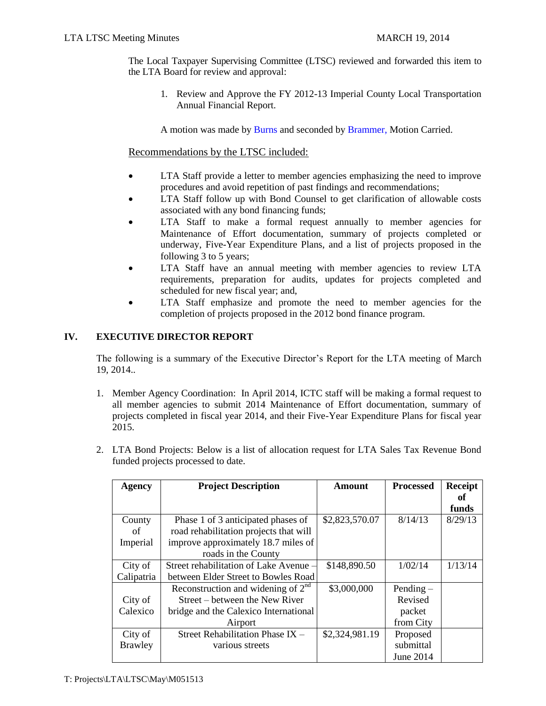The Local Taxpayer Supervising Committee (LTSC) reviewed and forwarded this item to the LTA Board for review and approval:

1. Review and Approve the FY 2012-13 Imperial County Local Transportation Annual Financial Report.

A motion was made by Burns and seconded by Brammer, Motion Carried.

## Recommendations by the LTSC included:

- LTA Staff provide a letter to member agencies emphasizing the need to improve procedures and avoid repetition of past findings and recommendations;
- LTA Staff follow up with Bond Counsel to get clarification of allowable costs associated with any bond financing funds;
- LTA Staff to make a formal request annually to member agencies for Maintenance of Effort documentation, summary of projects completed or underway, Five-Year Expenditure Plans, and a list of projects proposed in the following 3 to 5 years;
- LTA Staff have an annual meeting with member agencies to review LTA requirements, preparation for audits, updates for projects completed and scheduled for new fiscal year; and,
- LTA Staff emphasize and promote the need to member agencies for the completion of projects proposed in the 2012 bond finance program.

## **IV. EXECUTIVE DIRECTOR REPORT**

The following is a summary of the Executive Director's Report for the LTA meeting of March 19, 2014..

- 1. Member Agency Coordination: In April 2014, ICTC staff will be making a formal request to all member agencies to submit 2014 Maintenance of Effort documentation, summary of projects completed in fiscal year 2014, and their Five-Year Expenditure Plans for fiscal year 2015.
- 2. LTA Bond Projects: Below is a list of allocation request for LTA Sales Tax Revenue Bond funded projects processed to date.

| Agency     | <b>Project Description</b>             | Amount         | <b>Processed</b> | <b>Receipt</b> |
|------------|----------------------------------------|----------------|------------------|----------------|
|            |                                        |                |                  | оť             |
|            |                                        |                |                  | funds          |
| County     | Phase 1 of 3 anticipated phases of     | \$2,823,570.07 | 8/14/13          | 8/29/13        |
| of         | road rehabilitation projects that will |                |                  |                |
| Imperial   | improve approximately 18.7 miles of    |                |                  |                |
|            | roads in the County                    |                |                  |                |
| City of    | Street rehabilitation of Lake Avenue – | \$148,890.50   | 1/02/14          | 1/13/14        |
| Calipatria | between Elder Street to Bowles Road    |                |                  |                |
|            | Reconstruction and widening of $2nd$   | \$3,000,000    | Pending $-$      |                |
| City of    | Street – between the New River         |                | Revised          |                |
| Calexico   | bridge and the Calexico International  |                | packet           |                |
|            | Airport                                |                | from City        |                |
| City of    | Street Rehabilitation Phase IX -       | \$2,324,981.19 | Proposed         |                |
| Brawley    | various streets                        |                | submittal        |                |
|            |                                        |                | June 2014        |                |